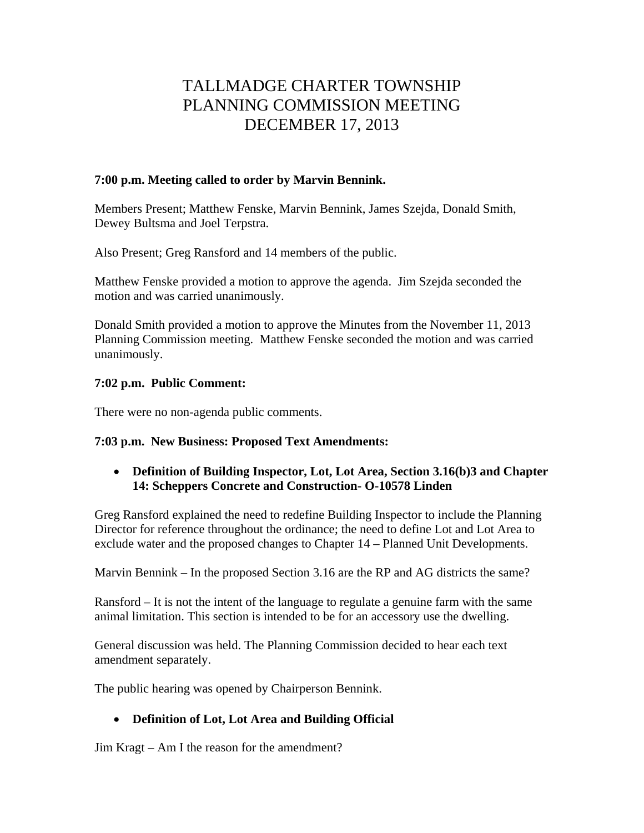# TALLMADGE CHARTER TOWNSHIP PLANNING COMMISSION MEETING DECEMBER 17, 2013

## **7:00 p.m. Meeting called to order by Marvin Bennink.**

Members Present; Matthew Fenske, Marvin Bennink, James Szejda, Donald Smith, Dewey Bultsma and Joel Terpstra.

Also Present; Greg Ransford and 14 members of the public.

Matthew Fenske provided a motion to approve the agenda. Jim Szejda seconded the motion and was carried unanimously.

Donald Smith provided a motion to approve the Minutes from the November 11, 2013 Planning Commission meeting. Matthew Fenske seconded the motion and was carried unanimously.

## **7:02 p.m. Public Comment:**

There were no non-agenda public comments.

## **7:03 p.m. New Business: Proposed Text Amendments:**

## **Definition of Building Inspector, Lot, Lot Area, Section 3.16(b)3 and Chapter 14: Scheppers Concrete and Construction- O-10578 Linden**

Greg Ransford explained the need to redefine Building Inspector to include the Planning Director for reference throughout the ordinance; the need to define Lot and Lot Area to exclude water and the proposed changes to Chapter 14 – Planned Unit Developments.

Marvin Bennink – In the proposed Section 3.16 are the RP and AG districts the same?

Ransford – It is not the intent of the language to regulate a genuine farm with the same animal limitation. This section is intended to be for an accessory use the dwelling.

General discussion was held. The Planning Commission decided to hear each text amendment separately.

The public hearing was opened by Chairperson Bennink.

## **Definition of Lot, Lot Area and Building Official**

Jim Kragt – Am I the reason for the amendment?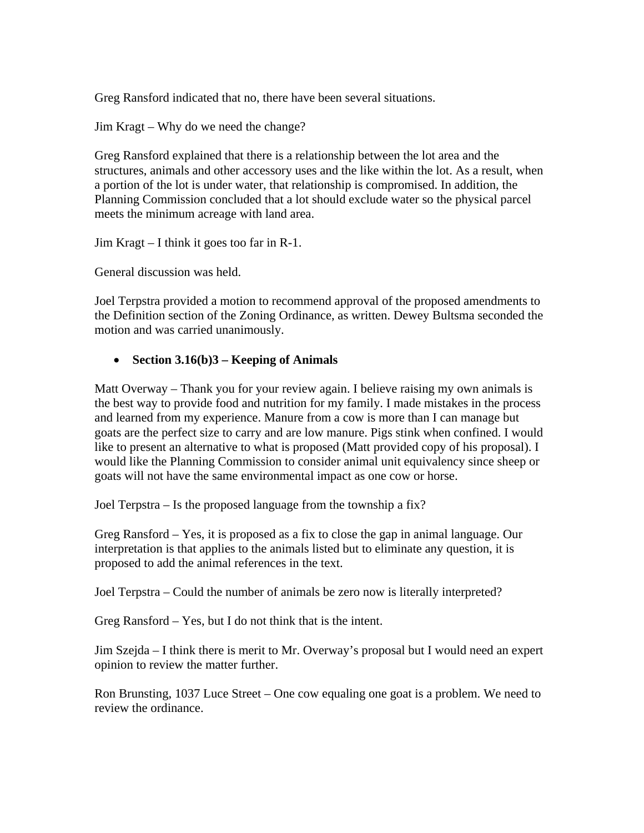Greg Ransford indicated that no, there have been several situations.

Jim Kragt – Why do we need the change?

Greg Ransford explained that there is a relationship between the lot area and the structures, animals and other accessory uses and the like within the lot. As a result, when a portion of the lot is under water, that relationship is compromised. In addition, the Planning Commission concluded that a lot should exclude water so the physical parcel meets the minimum acreage with land area.

Jim Kragt – I think it goes too far in R-1.

General discussion was held.

Joel Terpstra provided a motion to recommend approval of the proposed amendments to the Definition section of the Zoning Ordinance, as written. Dewey Bultsma seconded the motion and was carried unanimously.

## **Section 3.16(b)3 – Keeping of Animals**

Matt Overway – Thank you for your review again. I believe raising my own animals is the best way to provide food and nutrition for my family. I made mistakes in the process and learned from my experience. Manure from a cow is more than I can manage but goats are the perfect size to carry and are low manure. Pigs stink when confined. I would like to present an alternative to what is proposed (Matt provided copy of his proposal). I would like the Planning Commission to consider animal unit equivalency since sheep or goats will not have the same environmental impact as one cow or horse.

Joel Terpstra – Is the proposed language from the township a fix?

Greg Ransford – Yes, it is proposed as a fix to close the gap in animal language. Our interpretation is that applies to the animals listed but to eliminate any question, it is proposed to add the animal references in the text.

Joel Terpstra – Could the number of animals be zero now is literally interpreted?

Greg Ransford – Yes, but I do not think that is the intent.

Jim Szejda – I think there is merit to Mr. Overway's proposal but I would need an expert opinion to review the matter further.

Ron Brunsting, 1037 Luce Street – One cow equaling one goat is a problem. We need to review the ordinance.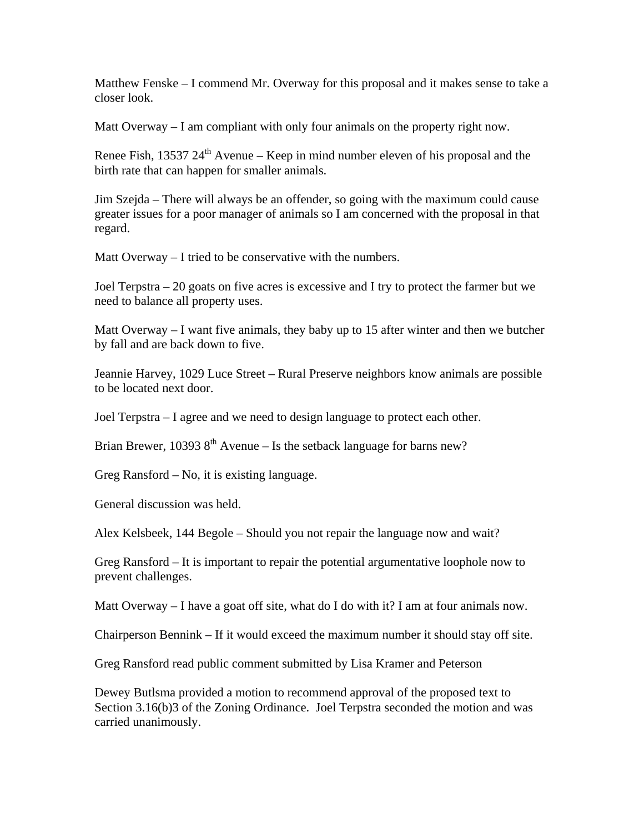Matthew Fenske – I commend Mr. Overway for this proposal and it makes sense to take a closer look.

Matt Overway – I am compliant with only four animals on the property right now.

Renee Fish, 13537  $24<sup>th</sup>$  Avenue – Keep in mind number eleven of his proposal and the birth rate that can happen for smaller animals.

Jim Szejda – There will always be an offender, so going with the maximum could cause greater issues for a poor manager of animals so I am concerned with the proposal in that regard.

Matt Overway – I tried to be conservative with the numbers.

Joel Terpstra – 20 goats on five acres is excessive and I try to protect the farmer but we need to balance all property uses.

Matt Overway  $-I$  want five animals, they baby up to 15 after winter and then we butcher by fall and are back down to five.

Jeannie Harvey, 1029 Luce Street – Rural Preserve neighbors know animals are possible to be located next door.

Joel Terpstra – I agree and we need to design language to protect each other.

Brian Brewer, 10393  $8<sup>th</sup>$  Avenue – Is the setback language for barns new?

Greg Ransford – No, it is existing language.

General discussion was held.

Alex Kelsbeek, 144 Begole – Should you not repair the language now and wait?

Greg Ransford – It is important to repair the potential argumentative loophole now to prevent challenges.

Matt Overway  $-1$  have a goat off site, what do I do with it? I am at four animals now.

Chairperson Bennink – If it would exceed the maximum number it should stay off site.

Greg Ransford read public comment submitted by Lisa Kramer and Peterson

Dewey Butlsma provided a motion to recommend approval of the proposed text to Section 3.16(b)3 of the Zoning Ordinance. Joel Terpstra seconded the motion and was carried unanimously.